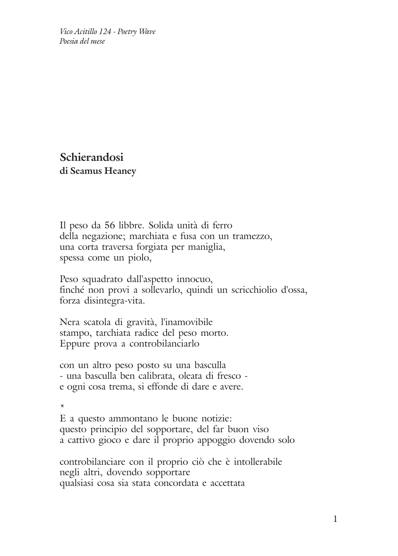*Vico Acitillo 124 - Poetry Wave Poesia del mese*

**Schierandosi di Seamus Heaney**

Il peso da 56 libbre. Solida unità di ferro della negazione; marchiata e fusa con un tramezzo, una corta traversa forgiata per maniglia, spessa come un piolo,

Peso squadrato dall'aspetto innocuo, finché non provi a sollevarlo, quindi un scricchiolio d'ossa, forza disintegra-vita.

Nera scatola di gravità, l'inamovibile stampo, tarchiata radice del peso morto. Eppure prova a controbilanciarlo

con un altro peso posto su una basculla - una basculla ben calibrata, oleata di fresco e ogni cosa trema, si effonde di dare e avere.

\*

E a questo ammontano le buone notizie: questo principio del sopportare, del far buon viso a cattivo gioco e dare il proprio appoggio dovendo solo

controbilanciare con il proprio ciò che è intollerabile negli altri, dovendo sopportare qualsiasi cosa sia stata concordata e accettata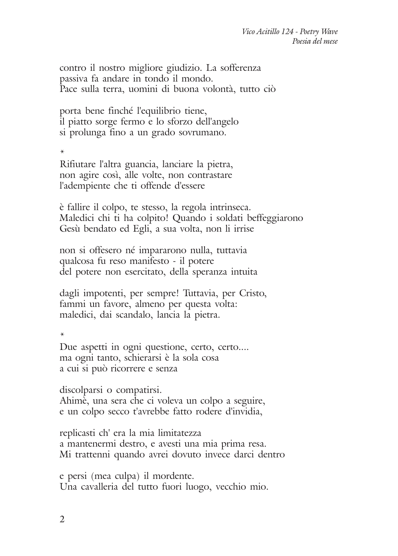contro il nostro migliore giudizio. La sofferenza passiva fa andare in tondo il mondo. Pace sulla terra, uomini di buona volontà, tutto ciò

porta bene finché l'equilibrio tiene, il piatto sorge fermo e lo sforzo dell'angelo si prolunga fino a un grado sovrumano.

\*

Rifiutare l'altra guancia, lanciare la pietra, non agire così, alle volte, non contrastare l'adempiente che ti offende d'essere

è fallire il colpo, te stesso, la regola intrinseca. Maledici chi ti ha colpito! Quando i soldati beffeggiarono Gesù bendato ed Egli, a sua volta, non li irrise

non si offesero né impararono nulla, tuttavia qualcosa fu reso manifesto - il potere del potere non esercitato, della speranza intuita

dagli impotenti, per sempre! Tuttavia, per Cristo, fammi un favore, almeno per questa volta: maledici, dai scandalo, lancia la pietra.

\*

Due aspetti in ogni questione, certo, certo.... ma ogni tanto, schierarsi è la sola cosa a cui si può ricorrere e senza

discolparsi o compatirsi. Ahimè, una sera che ci voleva un colpo a seguire, e un colpo secco t'avrebbe fatto rodere d'invidia,

replicasti ch' era la mia limitatezza a mantenermi destro, e avesti una mia prima resa. Mi trattenni quando avrei dovuto invece darci dentro

e persi (mea culpa) il mordente. Una cavalleria del tutto fuori luogo, vecchio mio.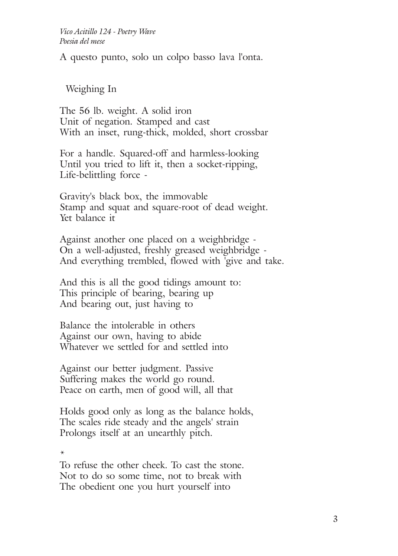A questo punto, solo un colpo basso lava l'onta.

Weighing In

The 56 lb. weight. A solid iron Unit of negation. Stamped and cast With an inset, rung-thick, molded, short crossbar

For a handle. Squared-off and harmless-looking Until you tried to lift it, then a socket-ripping, Life-belittling force -

Gravity's black box, the immovable Stamp and squat and square-root of dead weight. Yet balance it

Against another one placed on a weighbridge - On a well-adjusted, freshly greased weighbridge - And everything trembled, flowed with 'give and take.

And this is all the good tidings amount to: This principle of bearing, bearing up And bearing out, just having to

Balance the intolerable in others Against our own, having to abide Whatever we settled for and settled into

Against our better judgment. Passive Suffering makes the world go round. Peace on earth, men of good will, all that

Holds good only as long as the balance holds, The scales ride steady and the angels' strain Prolongs itself at an unearthly pitch.

\*

To refuse the other cheek. To cast the stone. Not to do so some time, not to break with The obedient one you hurt yourself into